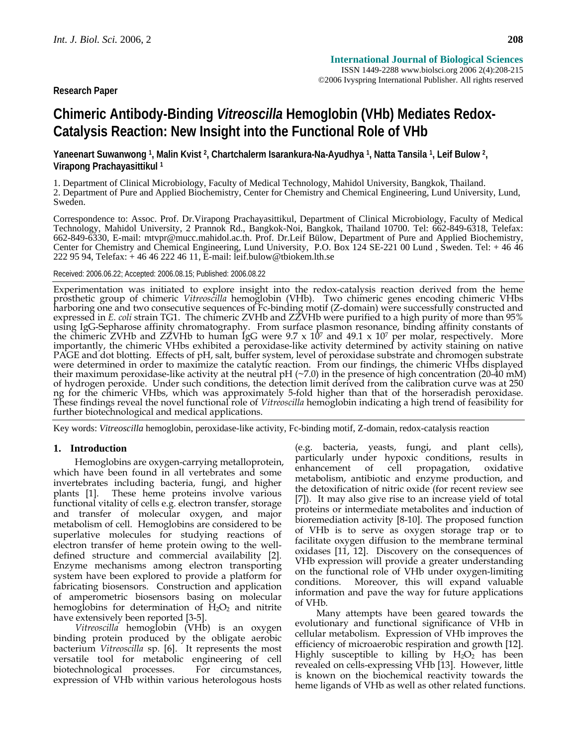# **Chimeric Antibody-Binding** *Vitreoscilla* **Hemoglobin (VHb) Mediates Redox-Catalysis Reaction: New Insight into the Functional Role of VHb**

**Yaneenart Suwanwong 1, Malin Kvist 2, Chartchalerm Isarankura-Na-Ayudhya 1, Natta Tansila 1, Leif Bulow 2, Virapong Prachayasittikul 1**

1. Department of Clinical Microbiology, Faculty of Medical Technology, Mahidol University, Bangkok, Thailand. 2. Department of Pure and Applied Biochemistry, Center for Chemistry and Chemical Engineering, Lund University, Lund, Sweden.

Correspondence to: Assoc. Prof. Dr.Virapong Prachayasittikul, Department of Clinical Microbiology, Faculty of Medical Technology, Mahidol University, 2 Prannok Rd., Bangkok-Noi, Bangkok, Thailand 10700. Tel: 662-849-6318, Telefax: 662-849-6330, E-mail: mtvpr@mucc.mahidol.ac.th. Prof. Dr.Leif Bülow, Department of Pure and Applied Biochemistry, Center for Chemistry and Chemical Engineering, Lund University, P.O. Box 124 SE-221 00 Lund , Sweden. Tel: + 46 46 222 95 94, Telefax: + 46 46 222 46 11, E-mail: leif.bulow@tbiokem.lth.se

Received: 2006.06.22; Accepted: 2006.08.15; Published: 2006.08.22

Experimentation was initiated to explore insight into the redox-catalysis reaction derived from the heme<br>prosthetic group of chimeric *Vitreoscilla* hemoglobin (VHb). Two chimeric genes encoding chimeric VHbs<br>harboring one the chimeric ZVHb and ZZVHb to human IgG were 9.7 x 107 and 49.1 x 107 per molar, respectively. More<br>importantly, the chimeric VHbs exhibited a peroxidase-like activity determined by activity staining on native PAGE and dot blotting. Effects of pH, salt, buffer system, level of peroxidase substrate and chromogen substrate<br>were determined in order to maximize the catalytic reaction. From our findings, the chimeric VHbs displayed<br> of hydrogen peroxide. Under such conditions, the detection limit derived from the calibration curve was at 250 ng for the chimeric VHbs, which was approximately 5-fold higher than that of the horseradish peroxidase. These findings reveal the novel functional role of *Vitreoscilla* hemoglobin indicating a high trend of feasibility for further biotechnological and medical applications.

Key words: *Vitreoscilla* hemoglobin, peroxidase-like activity, Fc-binding motif, Z-domain, redox-catalysis reaction

# **1. Introduction**

Hemoglobins are oxygen-carrying metalloprotein, which have been found in all vertebrates and some invertebrates including bacteria, fungi, and higher plants [1]. These heme proteins involve various functional vitality of cells e.g. electron transfer, storage and transfer of molecular oxygen, and major metabolism of cell. Hemoglobins are considered to be superlative molecules for studying reactions of electron transfer of heme protein owing to the welldefined structure and commercial availability [2]. Enzyme mechanisms among electron transporting system have been explored to provide a platform for fabricating biosensors. Construction and application of amperometric biosensors basing on molecular hemoglobins for determination of  $H_2O_2$  and nitrite have extensively been reported [3-5].

*Vitreoscilla* hemoglobin (VHb) is an oxygen binding protein produced by the obligate aerobic bacterium *Vitreoscilla* sp. [6]. It represents the most versatile tool for metabolic engineering of cell biotechnological processes. For circumstances, expression of VHb within various heterologous hosts (e.g. bacteria, yeasts, fungi, and plant cells), particularly under hypoxic conditions, results in enhancement of cell propagation, oxidative metabolism, antibiotic and enzyme production, and the detoxification of nitric oxide (for recent review see [7]). It may also give rise to an increase yield of total proteins or intermediate metabolites and induction of bioremediation activity [8-10]. The proposed function of VHb is to serve as oxygen storage trap or to facilitate oxygen diffusion to the membrane terminal oxidases [11, 12]. Discovery on the consequences of VHb expression will provide a greater understanding on the functional role of VHb under oxygen-limiting conditions. Moreover, this will expand valuable information and pave the way for future applications of VHb.

Many attempts have been geared towards the evolutionary and functional significance of VHb in cellular metabolism. Expression of VHb improves the efficiency of microaerobic respiration and growth [12]. Highly susceptible to killing by  $H_2O_2$  has been revealed on cells-expressing VHb [13]. However, little is known on the biochemical reactivity towards the heme ligands of VHb as well as other related functions.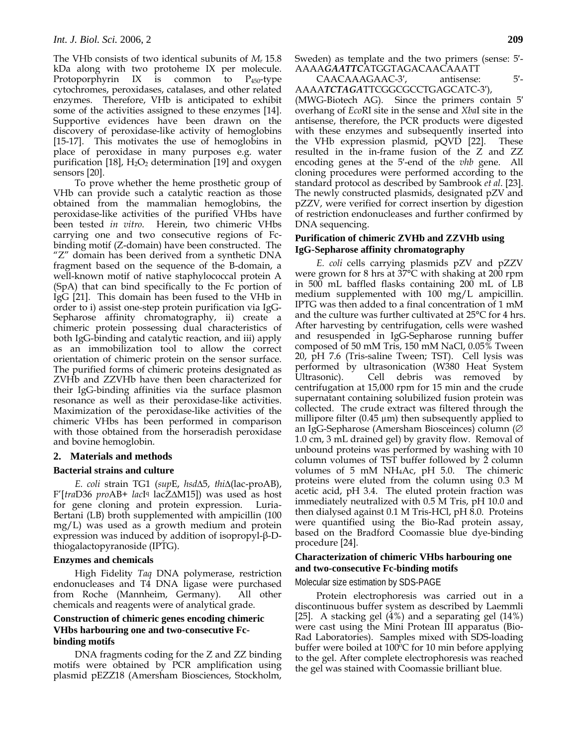The VHb consists of two identical subunits of *Mr* 15.8 kDa along with two protoheme IX per molecule. Protoporphyrin IX is common to P450-type cytochromes, peroxidases, catalases, and other related enzymes. Therefore, VHb is anticipated to exhibit some of the activities assigned to these enzymes [14]. Supportive evidences have been drawn on the discovery of peroxidase-like activity of hemoglobins [15-17]. This motivates the use of hemoglobins in place of peroxidase in many purposes e.g. water purification [18],  $H_2O_2$  determination [19] and oxygen sensors [20].

To prove whether the heme prosthetic group of VHb can provide such a catalytic reaction as those obtained from the mammalian hemoglobins, the peroxidase-like activities of the purified VHbs have been tested *in vitro*. Herein, two chimeric VHbs carrying one and two consecutive regions of Fcbinding motif (Z-domain) have been constructed. The "Z" domain has been derived from a synthetic DNA fragment based on the sequence of the B-domain, a well-known motif of native staphylococcal protein A (SpA) that can bind specifically to the Fc portion of IgG [21]. This domain has been fused to the VHb in order to i) assist one-step protein purification via IgG-Sepharose affinity chromatography, ii) create a chimeric protein possessing dual characteristics of both IgG-binding and catalytic reaction, and iii) apply as an immobilization tool to allow the correct orientation of chimeric protein on the sensor surface. The purified forms of chimeric proteins designated as ZVHb and ZZVHb have then been characterized for their IgG-binding affinities via the surface plasmon resonance as well as their peroxidase-like activities. Maximization of the peroxidase-like activities of the chimeric VHbs has been performed in comparison with those obtained from the horseradish peroxidase and bovine hemoglobin.

## **2. Materials and methods**

## **Bacterial strains and culture**

*E. coli* strain TG1 (*sup*E, *hsd*Δ5, *thi*Δ(lac-proAB), F'[*tra*D36 *pro*AB+ *lac*Iq lacZΔM15]) was used as host for gene cloning and protein expression. Luria-Bertani (LB) broth supplemented with ampicillin (100 mg/L) was used as a growth medium and protein expression was induced by addition of isopropyl-β-Dthiogalactopyranoside (IPTG).

## **Enzymes and chemicals**

High Fidelity *Taq* DNA polymerase, restriction endonucleases and T4 DNA ligase were purchased from Roche (Mannheim, Germany). All other chemicals and reagents were of analytical grade.

# **Construction of chimeric genes encoding chimeric VHbs harbouring one and two-consecutive Fcbinding motifs**

DNA fragments coding for the Z and ZZ binding motifs were obtained by PCR amplification using plasmid pEZZ18 (Amersham Biosciences, Stockholm, Sweden) as template and the two primers (sense: 5′- AAAA*GAATTC*ATGGTAGACAACAAATT

CAACAAAGAAC-3′, antisense: 5′- AAAA*TCTAGA*TTCGGCGCCTGAGCATC-3′),

(MWG-Biotech AG). Since the primers contain 5′ overhang of *Eco*RI site in the sense and *Xba*I site in the antisense, therefore, the PCR products were digested with these enzymes and subsequently inserted into the VHb expression plasmid, pQVD [22]. These resulted in the in-frame fusion of the Z and ZZ encoding genes at the 5′-end of the *vhb* gene. All cloning procedures were performed according to the standard protocol as described by Sambrook *et al*. [23]. The newly constructed plasmids, designated pZV and pZZV, were verified for correct insertion by digestion of restriction endonucleases and further confirmed by DNA sequencing.

# **Purification of chimeric ZVHb and ZZVHb using IgG-Sepharose affinity chromatography**

*E. coli* cells carrying plasmids pZV and pZZV were grown for 8 hrs at 37°C with shaking at 200 rpm in 500 mL baffled flasks containing 200 mL of LB medium supplemented with 100 mg/L ampicillin. IPTG was then added to a final concentration of 1 mM and the culture was further cultivated at 25°C for 4 hrs. After harvesting by centrifugation, cells were washed and resuspended in IgG-Sepharose running buffer composed of 50 mM Tris, 150 mM NaCl, 0.05% Tween 20, pH 7.6 (Tris-saline Tween; TST). Cell lysis was performed by ultrasonication (W380 Heat System Ultrasonic). Cell debris was removed by centrifugation at 15,000 rpm for 15 min and the crude supernatant containing solubilized fusion protein was collected. The crude extract was filtered through the millipore filter (0.45  $\mu$ m) then subsequently applied to an IgG-Sepharose (Amersham Biosceinces) column (∅ 1.0 cm, 3 mL drained gel) by gravity flow. Removal of unbound proteins was performed by washing with 10 column volumes of TST buffer followed by 2 column volumes of 5 mM NH4Ac, pH 5.0. The chimeric proteins were eluted from the column using 0.3 M acetic acid, pH 3.4. The eluted protein fraction was immediately neutralized with 0.5 M Tris, pH 10.0 and then dialysed against 0.1 M Tris-HCl, pH 8.0. Proteins were quantified using the Bio-Rad protein assay, based on the Bradford Coomassie blue dye-binding procedure [24].

# **Characterization of chimeric VHbs harbouring one and two-consecutive Fc-binding motifs**

Molecular size estimation by SDS-PAGE

Protein electrophoresis was carried out in a discontinuous buffer system as described by Laemmli [25]. A stacking gel  $(4%)$  and a separating gel  $(14%)$ were cast using the Mini Protean III apparatus (Bio-Rad Laboratories). Samples mixed with SDS-loading buffer were boiled at 100ºC for 10 min before applying to the gel. After complete electrophoresis was reached the gel was stained with Coomassie brilliant blue.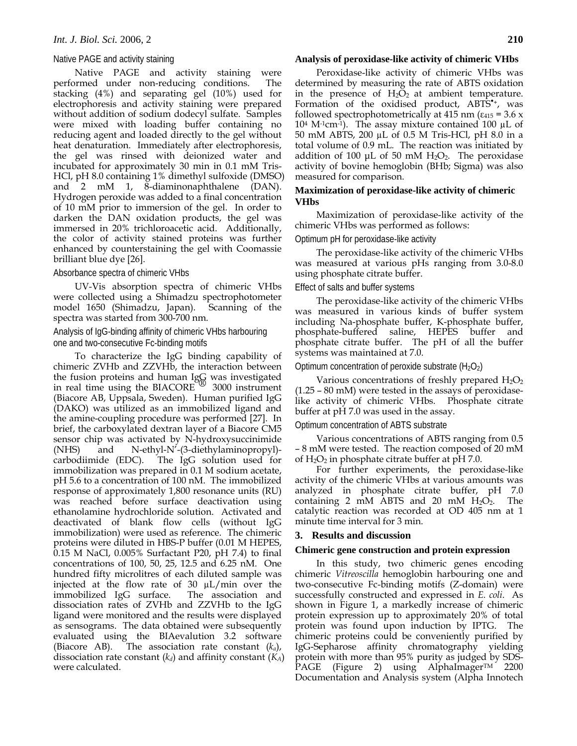#### Native PAGE and activity staining

Native PAGE and activity staining were performed under non-reducing conditions. The stacking (4%) and separating gel (10%) used for electrophoresis and activity staining were prepared without addition of sodium dodecyl sulfate. Samples were mixed with loading buffer containing no reducing agent and loaded directly to the gel without heat denaturation. Immediately after electrophoresis, the gel was rinsed with deionized water and incubated for approximately 30 min in 0.1 mM Tris-HCl, pH 8.0 containing 1% dimethyl sulfoxide (DMSO) and 2 mM 1, 8-diaminonaphthalene (DAN). Hydrogen peroxide was added to a final concentration of 10 mM prior to immersion of the gel. In order to darken the DAN oxidation products, the gel was immersed in 20% trichloroacetic acid. Additionally, the color of activity stained proteins was further enhanced by counterstaining the gel with Coomassie brilliant blue dye [26].

#### Absorbance spectra of chimeric VHbs

UV-Vis absorption spectra of chimeric VHbs were collected using a Shimadzu spectrophotometer model 1650 (Shimadzu, Japan). Scanning of the spectra was started from 300-700 nm.

# Analysis of IgG-binding affinity of chimeric VHbs harbouring one and two-consecutive Fc-binding motifs

To characterize the IgG binding capability of chimeric ZVHb and ZZVHb, the interaction between the fusion proteins and human IgG was investigated in real time using the BIACORE ® 3000 instrument (Biacore AB, Uppsala, Sweden). Human purified IgG (DAKO) was utilized as an immobilized ligand and the amine-coupling procedure was performed [27]. In brief, the carboxylated dextran layer of a Biacore CM5 sensor chip was activated by N-hydroxysuccinimide (NHS) and N-ethyl-N'-(3-diethylaminopropyl) carbodiimide (EDC). The IgG solution used for immobilization was prepared in 0.1 M sodium acetate, pH 5.6 to a concentration of 100 nM. The immobilized response of approximately 1,800 resonance units (RU) was reached before surface deactivation using ethanolamine hydrochloride solution. Activated and deactivated of blank flow cells (without IgG immobilization) were used as reference. The chimeric proteins were diluted in HBS-P buffer (0.01 M HEPES, 0.15 M NaCl, 0.005% Surfactant P20, pH 7.4) to final concentrations of 100, 50, 25, 12.5 and 6.25 nM. One hundred fifty microlitres of each diluted sample was injected at the flow rate of 30 µL/min over the immobilized IgG surface. dissociation rates of ZVHb and ZZVHb to the IgG ligand were monitored and the results were displayed as sensograms. The data obtained were subsequently evaluated using the BIAevalution 3.2 software (Biacore AB). The association rate constant  $(k_a)$ , The association rate constant  $(k_a)$ , dissociation rate constant  $(k_d)$  and affinity constant  $(K_A)$ were calculated.

# **Analysis of peroxidase-like activity of chimeric VHbs**

Peroxidase-like activity of chimeric VHbs was determined by measuring the rate of ABTS oxidation in the presence of  $H_2O_2$  at ambient temperature. Formation of the oxidised product, ABTS<sup>\*+</sup>, was followed spectrophotometrically at 415 nm ( $\varepsilon_{415}$  = 3.6 x  $10<sup>4</sup>$  M<sup>-1</sup>cm<sup>-1</sup>). The assay mixture contained 100  $\mu$ L of 50 mM ABTS, 200 µL of 0.5 M Tris-HCl, pH 8.0 in a total volume of 0.9 mL. The reaction was initiated by addition of 100  $\mu$ L of 50 mM H<sub>2</sub>O<sub>2</sub>. The peroxidase activity of bovine hemoglobin (BHb; Sigma) was also measured for comparison.

# **Maximization of peroxidase-like activity of chimeric VHbs**

Maximization of peroxidase-like activity of the chimeric VHbs was performed as follows:

#### Optimum pH for peroxidase-like activity

The peroxidase-like activity of the chimeric VHbs was measured at various pHs ranging from 3.0-8.0 using phosphate citrate buffer.

#### Effect of salts and buffer systems

The peroxidase-like activity of the chimeric VHbs was measured in various kinds of buffer system including Na-phosphate buffer, K-phosphate buffer, phosphate-buffered saline, HEPES buffer and phosphate citrate buffer. The pH of all the buffer systems was maintained at 7.0.

#### Optimum concentration of peroxide substrate  $(H_2O_2)$

Various concentrations of freshly prepared  $H_2O_2$ (1.25 – 80 mM) were tested in the assays of peroxidaselike activity of chimeric VHbs. Phosphate citrate buffer at pH 7.0 was used in the assay.

# Optimum concentration of ABTS substrate

Various concentrations of ABTS ranging from 0.5 – 8 mM were tested. The reaction composed of 20 mM of  $H_2O_2$  in phosphate citrate buffer at pH 7.0.

For further experiments, the peroxidase-like activity of the chimeric VHbs at various amounts was analyzed in phosphate citrate buffer, pH 7.0 containing 2 mM ABTS and 20 mM H2O2. The catalytic reaction was recorded at OD 405 nm at 1 minute time interval for 3 min.

## **3. Results and discussion**

#### **Chimeric gene construction and protein expression**

In this study, two chimeric genes encoding chimeric *Vitreoscilla* hemoglobin harbouring one and two-consecutive Fc-binding motifs (Z-domain) were successfully constructed and expressed in *E. coli*. As shown in Figure 1, a markedly increase of chimeric protein expression up to approximately 20% of total protein was found upon induction by IPTG. The chimeric proteins could be conveniently purified by IgG-Sepharose affinity chromatography yielding protein with more than 95% purity as judged by SDS-PAGE (Figure 2) using AlphaImager™ 2200 Documentation and Analysis system (Alpha Innotech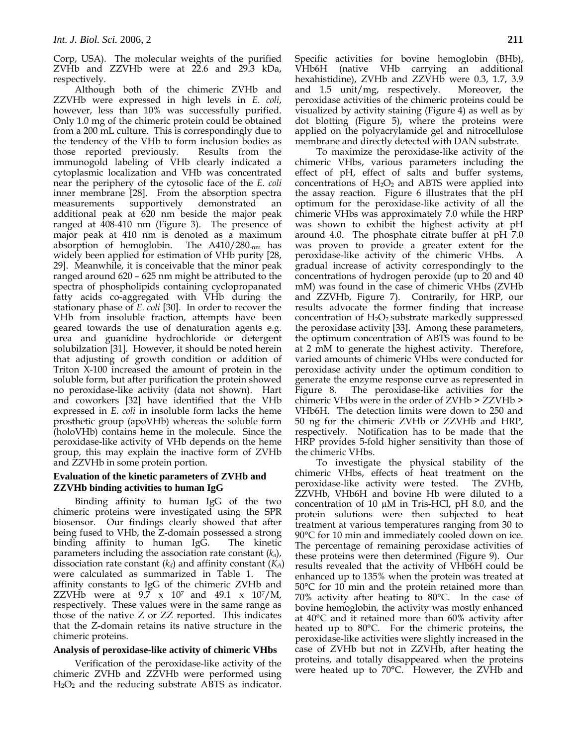Corp, USA). The molecular weights of the purified ZVHb and ZZVHb were at 22.6 and 29.3 kDa, respectively.

Although both of the chimeric ZVHb and ZZVHb were expressed in high levels in *E. coli*, however, less than 10% was successfully purified. Only 1.0 mg of the chimeric protein could be obtained from a 200 mL culture. This is correspondingly due to the tendency of the VHb to form inclusion bodies as those reported previously. Results from the immunogold labeling of VHb clearly indicated a cytoplasmic localization and VHb was concentrated near the periphery of the cytosolic face of the *E. coli* inner membrane [28]. From the absorption spectra measurements supportively demonstrated an additional peak at 620 nm beside the major peak ranged at 408-410 nm (Figure 3). The presence of major peak at 410 nm is denoted as a maximum absorption of hemoglobin. The A410/280-nm has widely been applied for estimation of VHb purity [28, 29]. Meanwhile, it is conceivable that the minor peak ranged around 620 – 625 nm might be attributed to the spectra of phospholipids containing cyclopropanated fatty acids co-aggregated with VHb during the stationary phase of *E. coli* [30]. In order to recover the VHb from insoluble fraction, attempts have been geared towards the use of denaturation agents e.g. urea and guanidine hydrochloride or detergent solubilzation [31]. However, it should be noted herein that adjusting of growth condition or addition of Triton X-100 increased the amount of protein in the soluble form, but after purification the protein showed no peroxidase-like activity (data not shown). Hart and coworkers [32] have identified that the VHb expressed in *E. coli* in insoluble form lacks the heme prosthetic group (apoVHb) whereas the soluble form (holoVHb) contains heme in the molecule. Since the peroxidase-like activity of VHb depends on the heme group, this may explain the inactive form of ZVHb and ZZVHb in some protein portion.

# **Evaluation of the kinetic parameters of ZVHb and ZZVHb binding activities to human IgG**

Binding affinity to human IgG of the two chimeric proteins were investigated using the SPR biosensor. Our findings clearly showed that after being fused to VHb, the Z-domain possessed a strong binding affinity to human IgG. The kinetic parameters including the association rate constant (*ka*), dissociation rate constant  $(k_d)$  and affinity constant  $(K_A)$ were calculated as summarized in Table 1. The affinity constants to IgG of the chimeric ZVHb and ZZVHb were at  $9.7 \times 10^7$  and  $49.1 \times 10^7/M$ , respectively. These values were in the same range as those of the native Z or ZZ reported. This indicates that the Z-domain retains its native structure in the chimeric proteins.

## **Analysis of peroxidase-like activity of chimeric VHbs**

Verification of the peroxidase-like activity of the chimeric ZVHb and ZZVHb were performed using  $H<sub>2</sub>O<sub>2</sub>$  and the reducing substrate ABTS as indicator. Specific activities for bovine hemoglobin (BHb), VHb6H (native VHb carrying an additional hexahistidine), ZVHb and ZZVHb were 0.3, 1.7, 3.9 and 1.5 unit/mg, respectively. Moreover, the peroxidase activities of the chimeric proteins could be visualized by activity staining (Figure 4) as well as by dot blotting (Figure 5), where the proteins were applied on the polyacrylamide gel and nitrocellulose membrane and directly detected with DAN substrate.

To maximize the peroxidase-like activity of the chimeric VHbs, various parameters including the effect of pH, effect of salts and buffer systems, concentrations of  $H_2O_2$  and ABTS were applied into the assay reaction. Figure 6 illustrates that the pH optimum for the peroxidase-like activity of all the chimeric VHbs was approximately 7.0 while the HRP was shown to exhibit the highest activity at pH around 4.0. The phosphate citrate buffer at pH 7.0 was proven to provide a greater extent for the peroxidase-like activity of the chimeric VHbs. A gradual increase of activity correspondingly to the concentrations of hydrogen peroxide (up to 20 and 40 mM) was found in the case of chimeric VHbs (ZVHb and ZZVHb, Figure 7). Contrarily, for HRP, our results advocate the former finding that increase concentration of  $H_2O_2$  substrate markedly suppressed the peroxidase activity [33]. Among these parameters, the optimum concentration of ABTS was found to be at 2 mM to generate the highest activity. Therefore, varied amounts of chimeric VHbs were conducted for peroxidase activity under the optimum condition to generate the enzyme response curve as represented in Figure 8. The peroxidase-like activities for the chimeric VHbs were in the order of ZVHb > ZZVHb > VHb6H. The detection limits were down to 250 and 50 ng for the chimeric ZVHb or ZZVHb and HRP, respectively. Notification has to be made that the HRP provides 5-fold higher sensitivity than those of the chimeric VHbs.

To investigate the physical stability of the chimeric VHbs, effects of heat treatment on the peroxidase-like activity were tested. The ZVHb, ZZVHb, VHb6H and bovine Hb were diluted to a concentration of 10  $\mu$ M in Tris-HCl, pH 8.0, and the protein solutions were then subjected to heat treatment at various temperatures ranging from 30 to 90°C for 10 min and immediately cooled down on ice. The percentage of remaining peroxidase activities of these proteins were then determined (Figure 9). Our results revealed that the activity of VHb6H could be enhanced up to 135% when the protein was treated at 50°C for 10 min and the protein retained more than 70% activity after heating to 80°C. In the case of bovine hemoglobin, the activity was mostly enhanced at 40°C and it retained more than 60% activity after heated up to 80°C. For the chimeric proteins, the peroxidase-like activities were slightly increased in the case of ZVHb but not in ZZVHb, after heating the proteins, and totally disappeared when the proteins were heated up to 70°C. However, the ZVHb and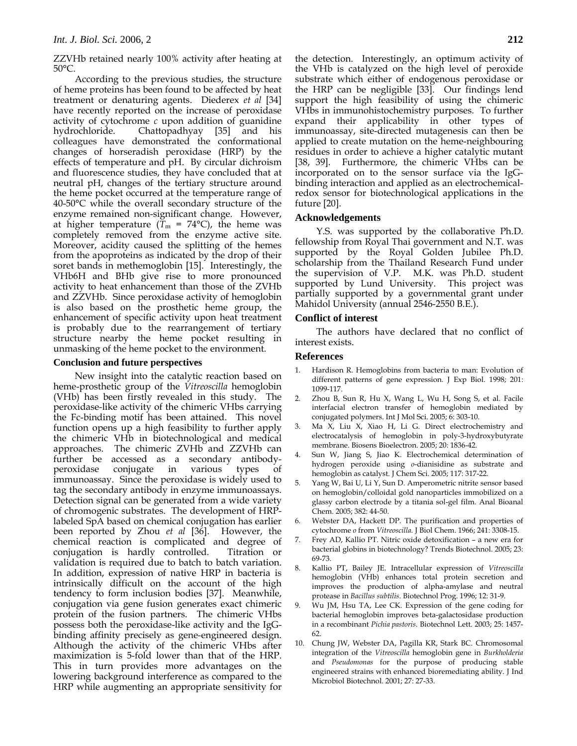ZZVHb retained nearly 100% activity after heating at 50°C.

According to the previous studies, the structure of heme proteins has been found to be affected by heat treatment or denaturing agents. Diederex *et al* [34] have recently reported on the increase of peroxidase activity of cytochrome *c* upon addition of guanidine hydrochloride. Chattopadhyay [35] and his colleagues have demonstrated the conformational changes of horseradish peroxidase (HRP) by the effects of temperature and pH. By circular dichroism and fluorescence studies, they have concluded that at neutral pH, changes of the tertiary structure around the heme pocket occurred at the temperature range of 40-50°C while the overall secondary structure of the enzyme remained non-significant change. However, at higher temperature ( $\overline{T}_{m}$  = 74°C), the heme was completely removed from the enzyme active site. Moreover, acidity caused the splitting of the hemes from the apoproteins as indicated by the drop of their soret bands in methemoglobin [15]. Interestingly, the VHb6H and BHb give rise to more pronounced activity to heat enhancement than those of the ZVHb and ZZVHb. Since peroxidase activity of hemoglobin is also based on the prosthetic heme group, the enhancement of specific activity upon heat treatment is probably due to the rearrangement of tertiary structure nearby the heme pocket resulting in unmasking of the heme pocket to the environment.

#### **Conclusion and future perspectives**

New insight into the catalytic reaction based on heme-prosthetic group of the *Vitreoscilla* hemoglobin (VHb) has been firstly revealed in this study. The peroxidase-like activity of the chimeric VHbs carrying the Fc-binding motif has been attained. This novel function opens up a high feasibility to further apply the chimeric VHb in biotechnological and medical approaches. The chimeric ZVHb and ZZVHb can further be accessed as a secondary antibodyperoxidase conjugate in various types of immunoassay. Since the peroxidase is widely used to tag the secondary antibody in enzyme immunoassays. Detection signal can be generated from a wide variety of chromogenic substrates. The development of HRPlabeled SpA based on chemical conjugation has earlier been reported by Zhou *et al* [36]. However, the chemical reaction is complicated and degree of conjugation is hardly controlled. Titration or validation is required due to batch to batch variation. In addition, expression of native HRP in bacteria is intrinsically difficult on the account of the high tendency to form inclusion bodies [37]. Meanwhile, conjugation via gene fusion generates exact chimeric protein of the fusion partners. The chimeric VHbs possess both the peroxidase-like activity and the IgGbinding affinity precisely as gene-engineered design. Although the activity of the chimeric VHbs after maximization is 5-fold lower than that of the HRP. This in turn provides more advantages on the lowering background interference as compared to the HRP while augmenting an appropriate sensitivity for the detection. Interestingly, an optimum activity of the VHb is catalyzed on the high level of peroxide substrate which either of endogenous peroxidase or the HRP can be negligible [33]. Our findings lend support the high feasibility of using the chimeric VHbs in immunohistochemistry purposes. To further expand their applicability in other types of immunoassay, site-directed mutagenesis can then be applied to create mutation on the heme-neighbouring residues in order to achieve a higher catalytic mutant [38, 39]. Furthermore, the chimeric VHbs can be incorporated on to the sensor surface via the IgGbinding interaction and applied as an electrochemicalredox sensor for biotechnological applications in the future [20].

#### **Acknowledgements**

Y.S. was supported by the collaborative Ph.D. fellowship from Royal Thai government and N.T. was supported by the Royal Golden Jubilee Ph.D. scholarship from the Thailand Research Fund under the supervision of V.P. M.K. was Ph.D. student supported by Lund University. This project was partially supported by a governmental grant under Mahidol University (annual 2546-2550 B.E.).

#### **Conflict of interest**

The authors have declared that no conflict of interest exists.

#### **References**

- Hardison R. Hemoglobins from bacteria to man: Evolution of different patterns of gene expression. J Exp Biol. 1998; 201: 1099-117.
- 2. Zhou B, Sun R, Hu X, Wang L, Wu H, Song S, et al. Facile interfacial electron transfer of hemoglobin mediated by conjugated polymers. Int J Mol Sci. 2005; 6: 303-10.
- 3. Ma X, Liu X, Xiao H, Li G. Direct electrochemistry and electrocatalysis of hemoglobin in poly-3-hydroxybutyrate membrane. Biosens Bioelectron. 2005; 20: 1836-42.
- 4. Sun W, Jiang S, Jiao K. Electrochemical determination of hydrogen peroxide using *o*-dianisidine as substrate and hemoglobin as catalyst. J Chem Sci. 2005; 117: 317-22.
- 5. Yang W, Bai U, Li Y, Sun D. Amperometric nitrite sensor based on hemoglobin/colloidal gold nanoparticles immobilized on a glassy carbon electrode by a titania sol-gel film. Anal Bioanal Chem. 2005; 382: 44-50.
- 6. Webster DA, Hackett DP. The purification and properties of cytochrome *o* from *Vitreoscilla*. J Biol Chem. 1966; 241: 3308-15.
- 7. Frey AD, Kallio PT. Nitric oxide detoxification a new era for bacterial globins in biotechnology? Trends Biotechnol. 2005; 23: 69-73.
- 8. Kallio PT, Bailey JE. Intracellular expression of *Vitreoscilla* hemoglobin (VHb) enhances total protein secretion and improves the production of alpha-amylase and neutral protease in *Bacillus subtilis*. Biotechnol Prog. 1996; 12: 31-9.
- 9. Wu JM, Hsu TA, Lee CK. Expression of the gene coding for bacterial hemoglobin improves beta-galactosidase production in a recombinant *Pichia pastoris*. Biotechnol Lett. 2003; 25: 1457- 62.
- 10. Chung JW, Webster DA, Pagilla KR, Stark BC. Chromosomal integration of the *Vitreoscilla* hemoglobin gene in *Burkholderia* and *Pseudomonas* for the purpose of producing stable engineered strains with enhanced bioremediating ability. J Ind Microbiol Biotechnol. 2001; 27: 27-33.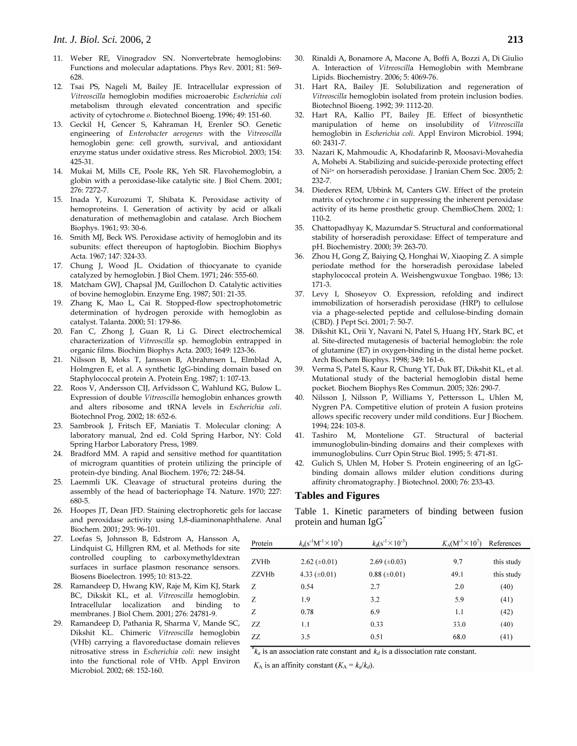- 11. Weber RE, Vinogradov SN. Nonvertebrate hemoglobins: Functions and molecular adaptations. Phys Rev. 2001; 81: 569- 628.
- 12. Tsai PS, Nageli M, Bailey JE. Intracellular expression of *Vitreoscilla* hemoglobin modifies microaerobic *Escherichia coli* metabolism through elevated concentration and specific activity of cytochrome *o*. Biotechnol Bioeng. 1996; 49: 151-60.
- 13. Geckil H, Gencer S, Kahraman H, Erenler SO. Genetic engineering of *Enterobacter aerogenes* with the *Vitreoscilla* hemoglobin gene: cell growth, survival, and antioxidant enzyme status under oxidative stress. Res Microbiol. 2003; 154: 425-31.
- 14. Mukai M, Mills CE, Poole RK, Yeh SR. Flavohemoglobin, a globin with a peroxidase-like catalytic site. J Biol Chem. 2001; 276: 7272-7.
- 15. Inada Y, Kurozumi T, Shibata K. Peroxidase activity of hemoproteins. I. Generation of activity by acid or alkali denaturation of methemaglobin and catalase. Arch Biochem Biophys. 1961; 93: 30-6.
- 16. Smith MJ, Beck WS. Peroxidase activity of hemoglobin and its subunits: effect thereupon of haptoglobin. Biochim Biophys Acta. 1967; 147: 324-33.
- 17. Chung J, Wood JL. Oxidation of thiocyanate to cyanide catalyzed by hemoglobin. J Biol Chem. 1971; 246: 555-60.
- 18. Matcham GWJ, Chapsal JM, Guillochon D. Catalytic activities of bovine hemoglobin. Enzyme Eng. 1987; 501: 21-35.
- 19. Zhang K, Mao L, Cai R. Stopped-flow spectrophotometric determination of hydrogen peroxide with hemoglobin as catalyst. Talanta. 2000; 51: 179-86.
- 20. Fan C, Zhong J, Guan R, Li G. Direct electrochemical characterization of *Vitreoscilla* sp. hemoglobin entrapped in organic films. Biochim Biophys Acta. 2003; 1649: 123-36.
- 21. Nilsson B, Moks T, Jansson B, Abrahmsen L, Elmblad A, Holmgren E, et al. A synthetic IgG-binding domain based on Staphylococcal protein A. Protein Eng. 1987; 1: 107-13.
- 22. Roos V, Andersson CIJ, Arfvidsson C, Wahlund KG, Bulow L. Expression of double *Vitreoscilla* hemoglobin enhances growth and alters ribosome and tRNA levels in *Escherichia coli*. Biotechnol Prog. 2002; 18: 652-6.
- 23. Sambrook J, Fritsch EF, Maniatis T. Molecular cloning: A laboratory manual, 2nd ed. Cold Spring Harbor, NY: Cold Spring Harbor Laboratory Press, 1989.
- 24. Bradford MM. A rapid and sensitive method for quantitation of microgram quantities of protein utilizing the principle of protein-dye binding. Anal Biochem. 1976; 72: 248-54.
- 25. Laemmli UK. Cleavage of structural proteins during the assembly of the head of bacteriophage T4. Nature. 1970; 227: 680-5.
- 26. Hoopes JT, Dean JFD. Staining electrophoretic gels for laccase and peroxidase activity using 1,8-diaminonaphthalene. Anal Biochem. 2001; 293: 96-101.
- 27. Loefas S, Johnsson B, Edstrom A, Hansson A, Lindquist G, Hillgren RM, et al. Methods for site controlled coupling to carboxymethyldextran surfaces in surface plasmon resonance sensors. Biosens Bioelectron. 1995; 10: 813-22.
- 28. Ramandeep D, Hwang KW, Raje M, Kim KJ, Stark BC, Dikskit KL, et al. *Vitreoscilla* hemoglobin. Intracellular localization and binding to membranes. J Biol Chem. 2001; 276: 24781-9.
- 29. Ramandeep D, Pathania R, Sharma V, Mande SC, Dikshit KL. Chimeric *Vitreoscilla* hemoglobin (VHb) carrying a flavoreductase domain relieves nitrosative stress in *Escherichia coli*: new insight into the functional role of VHb. Appl Environ Microbiol. 2002; 68: 152-160.
- 30. Rinaldi A, Bonamore A, Macone A, Boffi A, Bozzi A, Di Giulio A. Interaction of *Vitreoscill*a Hemoglobin with Membrane Lipids. Biochemistry. 2006; 5: 4069-76.
- 31. Hart RA, Bailey JE. Solubilization and regeneration of *Vitreoscilla* hemoglobin isolated from protein inclusion bodies. Biotechnol Bioeng. 1992; 39: 1112-20.
- 32. Hart RA, Kallio PT, Bailey JE. Effect of biosynthetic manipulation of heme on insolubility of *Vitreoscilla* hemoglobin in *Escherichia coli*. Appl Environ Microbiol. 1994; 60: 2431-7.
- 33. Nazari K, Mahmoudic A, Khodafarinb R, Moosavi-Movahedia A, Mohebi A. Stabilizing and suicide-peroxide protecting effect of Ni2+ on horseradish peroxidase. J Iranian Chem Soc. 2005; 2: 232-7.
- 34. Diederex REM, Ubbink M, Canters GW. Effect of the protein matrix of cytochrome  $c$  in suppressing the inherent peroxidase activity of its heme prosthetic group. ChemBioChem. 2002; 1: 110-2.
- 35. Chattopadhyay K, Mazumdar S. Structural and conformational stability of horseradish peroxidase: Effect of temperature and pH. Biochemistry. 2000; 39: 263-70.
- 36. Zhou H, Gong Z, Baiying Q, Honghai W, Xiaoping Z. A simple periodate method for the horseradish peroxidase labeled staphylococcal protein A. Weishengwuxue Tongbao. 1986; 13: 171-3.
- 37. Levy I, Shoseyov O. Expression, refolding and indirect immobilization of horseradish peroxidase (HRP) to cellulose via a phage-selected peptide and cellulose-binding domain (CBD). J Pept Sci. 2001; 7: 50-7.
- 38. Dikshit KL, Orii Y, Navani N, Patel S, Huang HY, Stark BC, et al. Site-directed mutagenesis of bacterial hemoglobin: the role of glutamine (E7) in oxygen-binding in the distal heme pocket. Arch Biochem Biophys. 1998; 349: 161-6.
- 39. Verma S, Patel S, Kaur R, Chung YT, Duk BT, Dikshit KL, et al. Mutational study of the bacterial hemoglobin distal heme pocket. Biochem Biophys Res Commun. 2005; 326: 290-7.
- 40. Nilsson J, Nilsson P, Williams Y, Pettersson L, Uhlen M, Nygren PA. Competitive elution of protein A fusion proteins allows specific recovery under mild conditions. Eur J Biochem. 1994; 224: 103-8.
- 41. Tashiro M, Montelione GT. Structural of bacterial immunoglobulin-binding domains and their complexes with immunoglobulins. Curr Opin Struc Biol. 1995; 5: 471-81.
- 42. Gulich S, Uhlen M, Hober S. Protein engineering of an IgGbinding domain allows milder elution conditions during affinity chromatography. J Biotechnol. 2000; 76: 233-43.

#### **Tables and Figures**

Table 1. Kinetic parameters of binding between fusion protein and human  $IgG^*$ 

| Protein | $k_a(s^{-1}M^{-1} \times 10^5)$ | $k_{\rm d}$ (s <sup>-1</sup> $\times$ 10 <sup>-3</sup> ) | $K_A(M^{-1} \times 10^7)$ | References |
|---------|---------------------------------|----------------------------------------------------------|---------------------------|------------|
|         |                                 |                                                          |                           |            |
| ZVHb    | $2.62 \ (\pm 0.01)$             | $2.69 \ (\pm 0.03)$                                      | 9.7                       | this study |
| ZZVHb   | 4.33 $(\pm 0.01)$               | $0.88 (\pm 0.01)$                                        | 49.1                      | this study |
| Z       | 0.54                            | 2.7                                                      | 2.0                       | (40)       |
| Ζ       | 1.9                             | 3.2                                                      | 5.9                       | (41)       |
| Z       | 0.78                            | 6.9                                                      | 1.1                       | (42)       |
| 77.     | 1.1                             | 0.33                                                     | 33.0                      | (40)       |
| ZZ      | 3.5                             | 0.51                                                     | 68.0                      | (41)       |

 $k_a$  is an association rate constant and  $k_d$  is a dissociation rate constant.

 $K_A$  is an affinity constant  $(K_A = k_a/k_d)$ .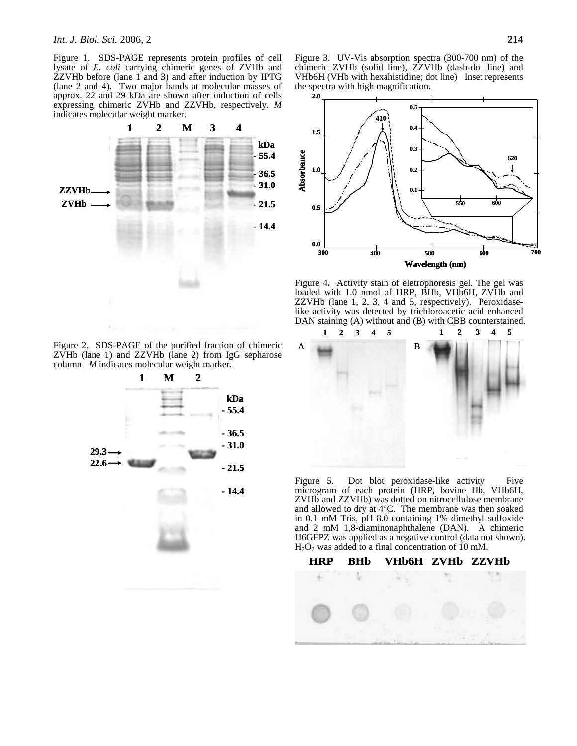Figure 1. SDS-PAGE represents protein profiles of cell lysate of *E. coli* carrying chimeric genes of ZVHb and ZZVHb before (lane 1 and 3) and after induction by IPTG (lane 2 and 4). Two major bands at molecular masses of approx. 22 and 29 kDa are shown after induction of cells expressing chimeric ZVHb and ZZVHb, respectively. *M*  indicates molecular weight marker.

**kDa - 55.4 - 36.5 - 31.0 - 21.5 - 14.4 1 2 M 3 4 ZZVHb ZVHb**

Figure 3. UV-Vis absorption spectra (300-700 nm) of the chimeric ZVHb (solid line), ZZVHb (dash-dot line) and VHb6H (VHb with hexahistidine; dot line) Inset represents the spectra with high magnification.



Figure 4**.** Activity stain of eletrophoresis gel. The gel was loaded with 1.0 nmol of HRP, BHb, VHb6H, ZVHb and ZZVHb (lane 1, 2, 3, 4 and 5, respectively). Peroxidaselike activity was detected by trichloroacetic acid enhanced DAN staining (A) without and (B) with CBB counterstained.



Figure 5. Dot blot peroxidase-like activity Five microgram of each protein (HRP, bovine Hb, VHb6H, ZVHb and ZZVHb) was dotted on nitrocellulose membrane and allowed to dry at 4°C. The membrane was then soaked in 0.1 mM Tris, pH 8.0 containing 1% dimethyl sulfoxide and 2 mM 1,8-diaminonaphthalene (DAN). A chimeric H6GFPZ was applied as a negative control (data not shown).  $H<sub>2</sub>O<sub>2</sub>$  was added to a final concentration of 10 mM.



Figure 2. SDS-PAGE of the purified fraction of chimeric ZVHb (lane 1) and ZZVHb (lane 2) from IgG sepharose column *M* indicates molecular weight marker.